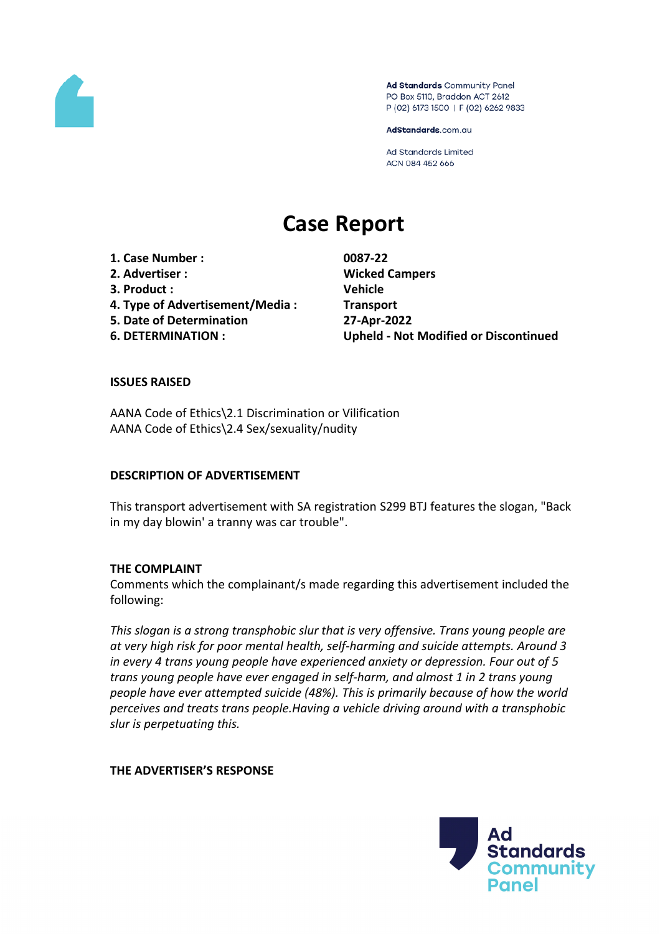

Ad Standards Community Panel PO Box 5110, Braddon ACT 2612 P (02) 6173 1500 | F (02) 6262 9833

AdStandards.com.au

**Ad Standards Limited** ACN 084 452 666

# **Case Report**

**1. Case Number : 0087-22 2. Advertiser : Wicked Campers 3. Product : Vehicle 4. Type of Advertisement/Media : Transport 5. Date of Determination 27-Apr-2022**

**6. DETERMINATION : Upheld - Not Modified or Discontinued**

## **ISSUES RAISED**

AANA Code of Ethics\2.1 Discrimination or Vilification AANA Code of Ethics\2.4 Sex/sexuality/nudity

#### **DESCRIPTION OF ADVERTISEMENT**

This transport advertisement with SA registration S299 BTJ features the slogan, "Back in my day blowin' a tranny was car trouble".

#### **THE COMPLAINT**

Comments which the complainant/s made regarding this advertisement included the following:

*This slogan is a strong transphobic slur that is very offensive. Trans young people are at very high risk for poor mental health, self-harming and suicide attempts. Around 3 in every 4 trans young people have experienced anxiety or depression. Four out of 5 trans young people have ever engaged in self-harm, and almost 1 in 2 trans young people have ever attempted suicide (48%). This is primarily because of how the world perceives and treats trans people.Having a vehicle driving around with a transphobic slur is perpetuating this.*

#### **THE ADVERTISER'S RESPONSE**

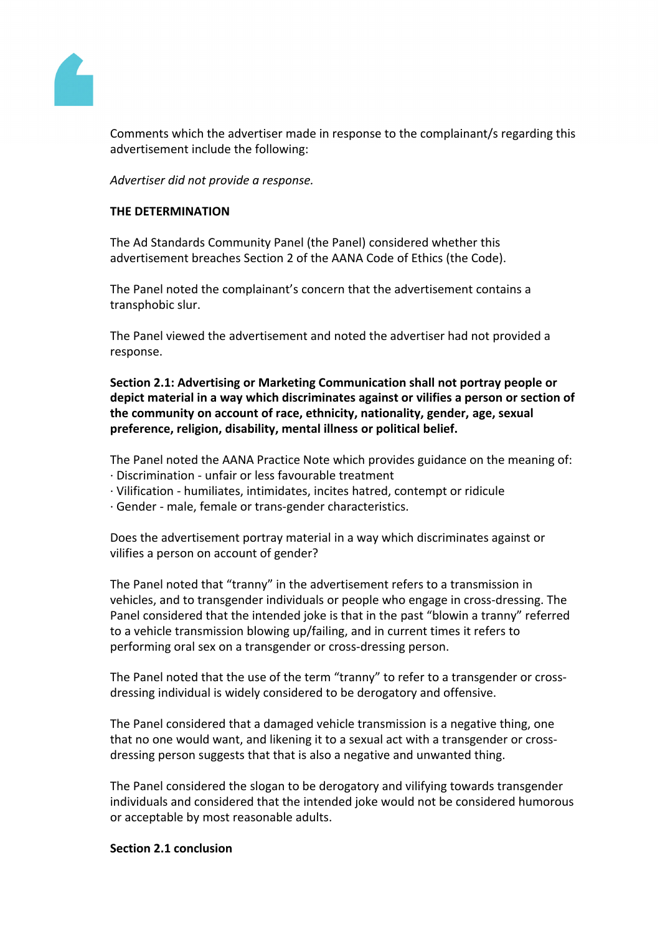

Comments which the advertiser made in response to the complainant/s regarding this advertisement include the following:

*Advertiser did not provide a response.*

#### **THE DETERMINATION**

The Ad Standards Community Panel (the Panel) considered whether this advertisement breaches Section 2 of the AANA Code of Ethics (the Code).

The Panel noted the complainant's concern that the advertisement contains a transphobic slur.

The Panel viewed the advertisement and noted the advertiser had not provided a response.

**Section 2.1: Advertising or Marketing Communication shall not portray people or depict material in a way which discriminates against or vilifies a person or section of the community on account of race, ethnicity, nationality, gender, age, sexual preference, religion, disability, mental illness or political belief.**

The Panel noted the AANA Practice Note which provides guidance on the meaning of:

- · Discrimination unfair or less favourable treatment
- · Vilification humiliates, intimidates, incites hatred, contempt or ridicule
- · Gender male, female or trans-gender characteristics.

Does the advertisement portray material in a way which discriminates against or vilifies a person on account of gender?

The Panel noted that "tranny" in the advertisement refers to a transmission in vehicles, and to transgender individuals or people who engage in cross-dressing. The Panel considered that the intended joke is that in the past "blowin a tranny" referred to a vehicle transmission blowing up/failing, and in current times it refers to performing oral sex on a transgender or cross-dressing person.

The Panel noted that the use of the term "tranny" to refer to a transgender or crossdressing individual is widely considered to be derogatory and offensive.

The Panel considered that a damaged vehicle transmission is a negative thing, one that no one would want, and likening it to a sexual act with a transgender or crossdressing person suggests that that is also a negative and unwanted thing.

The Panel considered the slogan to be derogatory and vilifying towards transgender individuals and considered that the intended joke would not be considered humorous or acceptable by most reasonable adults.

#### **Section 2.1 conclusion**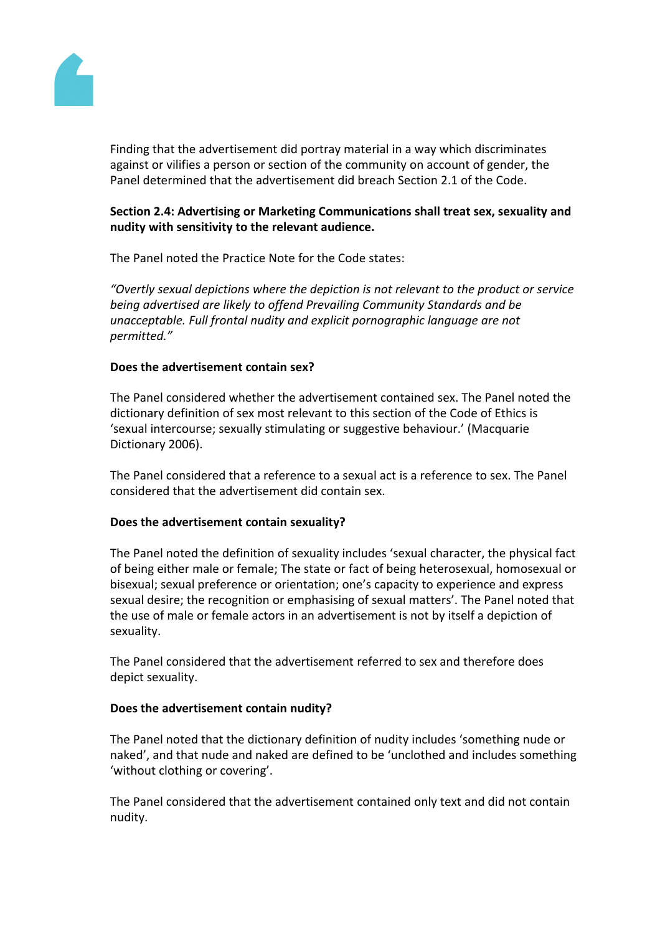

Finding that the advertisement did portray material in a way which discriminates against or vilifies a person or section of the community on account of gender, the Panel determined that the advertisement did breach Section 2.1 of the Code.

# **Section 2.4: Advertising or Marketing Communications shall treat sex, sexuality and nudity with sensitivity to the relevant audience.**

The Panel noted the Practice Note for the Code states:

*"Overtly sexual depictions where the depiction is not relevant to the product or service being advertised are likely to offend Prevailing Community Standards and be unacceptable. Full frontal nudity and explicit pornographic language are not permitted."*

## **Does the advertisement contain sex?**

The Panel considered whether the advertisement contained sex. The Panel noted the dictionary definition of sex most relevant to this section of the Code of Ethics is 'sexual intercourse; sexually stimulating or suggestive behaviour.' (Macquarie Dictionary 2006).

The Panel considered that a reference to a sexual act is a reference to sex. The Panel considered that the advertisement did contain sex.

## **Does the advertisement contain sexuality?**

The Panel noted the definition of sexuality includes 'sexual character, the physical fact of being either male or female; The state or fact of being heterosexual, homosexual or bisexual; sexual preference or orientation; one's capacity to experience and express sexual desire; the recognition or emphasising of sexual matters'. The Panel noted that the use of male or female actors in an advertisement is not by itself a depiction of sexuality.

The Panel considered that the advertisement referred to sex and therefore does depict sexuality.

## **Does the advertisement contain nudity?**

The Panel noted that the dictionary definition of nudity includes 'something nude or naked', and that nude and naked are defined to be 'unclothed and includes something 'without clothing or covering'.

The Panel considered that the advertisement contained only text and did not contain nudity.